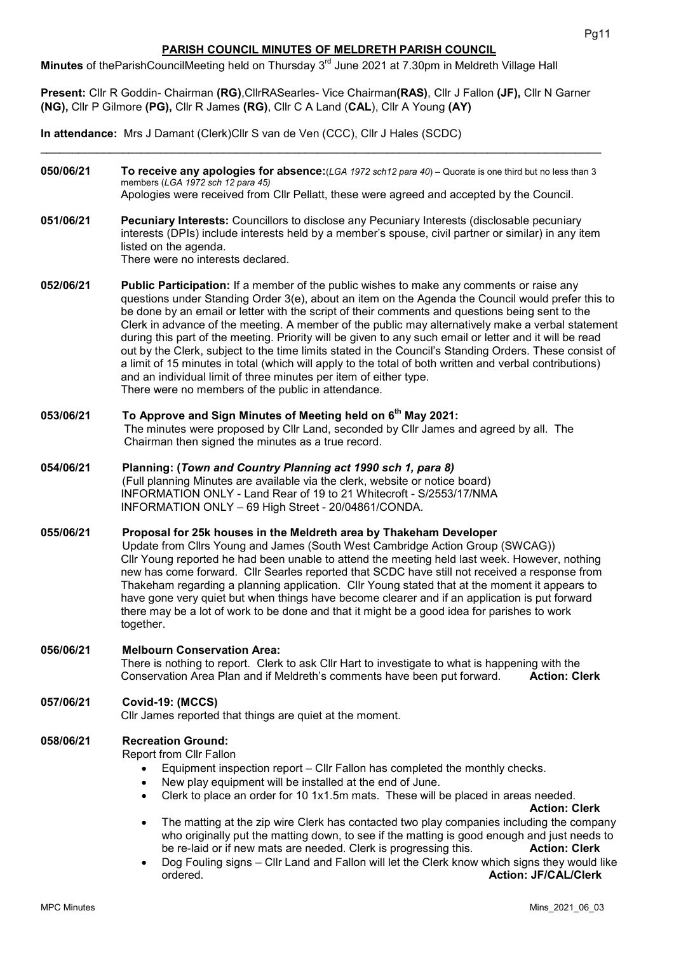# PARISH COUNCIL MINUTES OF MELDRETH PARISH COUNCIL

Minutes of theParishCouncilMeeting held on Thursday 3<sup>rd</sup> June 2021 at 7.30pm in Meldreth Village Hall

Present: Cllr R Goddin- Chairman (RG), CllrRASearles- Vice Chairman(RAS), Cllr J Fallon (JF), Cllr N Garner (NG), Cllr P Gilmore (PG), Cllr R James (RG), Cllr C A Land (CAL), Cllr A Young (AY)

In attendance: Mrs J Damant (Clerk)Cllr S van de Ven (CCC), Cllr J Hales (SCDC)

050/06/21 To receive any apologies for absence:  $(LGA 1972 \text{ sch12}$  para 40) – Quorate is one third but no less than 3 members (LGA 1972 sch 12 para 45) Apologies were received from Cllr Pellatt, these were agreed and accepted by the Council.

 $\_$  , and the set of the set of the set of the set of the set of the set of the set of the set of the set of the set of the set of the set of the set of the set of the set of the set of the set of the set of the set of th

051/06/21 Pecuniary Interests: Councillors to disclose any Pecuniary Interests (disclosable pecuniary interests (DPIs) include interests held by a member's spouse, civil partner or similar) in any item

> listed on the agenda. There were no interests declared.

- 052/06/21 Public Participation: If a member of the public wishes to make any comments or raise any questions under Standing Order 3(e), about an item on the Agenda the Council would prefer this to be done by an email or letter with the script of their comments and questions being sent to the Clerk in advance of the meeting. A member of the public may alternatively make a verbal statement during this part of the meeting. Priority will be given to any such email or letter and it will be read out by the Clerk, subject to the time limits stated in the Council's Standing Orders. These consist of a limit of 15 minutes in total (which will apply to the total of both written and verbal contributions) and an individual limit of three minutes per item of either type. There were no members of the public in attendance.
- 053/06/21 To Approve and Sign Minutes of Meeting held on 6<sup>th</sup> May 2021: The minutes were proposed by Cllr Land, seconded by Cllr James and agreed by all. The Chairman then signed the minutes as a true record.
- 054/06/21 Planning: (Town and Country Planning act 1990 sch 1, para 8) (Full planning Minutes are available via the clerk, website or notice board) INFORMATION ONLY - Land Rear of 19 to 21 Whitecroft - S/2553/17/NMA INFORMATION ONLY – 69 High Street - 20/04861/CONDA.

### 055/06/21 Proposal for 25k houses in the Meldreth area by Thakeham Developer

 Update from Cllrs Young and James (South West Cambridge Action Group (SWCAG)) Cllr Young reported he had been unable to attend the meeting held last week. However, nothing new has come forward. Cllr Searles reported that SCDC have still not received a response from Thakeham regarding a planning application. Cllr Young stated that at the moment it appears to have gone very quiet but when things have become clearer and if an application is put forward there may be a lot of work to be done and that it might be a good idea for parishes to work together.

#### 056/06/21 Melbourn Conservation Area: There is nothing to report. Clerk to ask Cllr Hart to investigate to what is happening with the Conservation Area Plan and if Meldreth's comments have been put forward. **Action: Clerk**

# 057/06/21 Covid-19: (MCCS)

Cllr James reported that things are quiet at the moment.

### 058/06/21 Recreation Ground:

Report from Cllr Fallon

- Equipment inspection report Cllr Fallon has completed the monthly checks.
- New play equipment will be installed at the end of June.
- Clerk to place an order for 10 1x1.5m mats. These will be placed in areas needed.

Action: Clerk

- The matting at the zip wire Clerk has contacted two play companies including the company who originally put the matting down, to see if the matting is good enough and just needs to be re-laid or if new mats are needed. Clerk is progressing this. **Action: Clerk**
- Dog Fouling signs Cllr Land and Fallon will let the Clerk know which signs they would like ordered. Action: JF/CAL/Clerk and the contract of the contract of the contract of the contract of the contract of the contract of the contract of the contract of the contract of the contract of the contract of the contract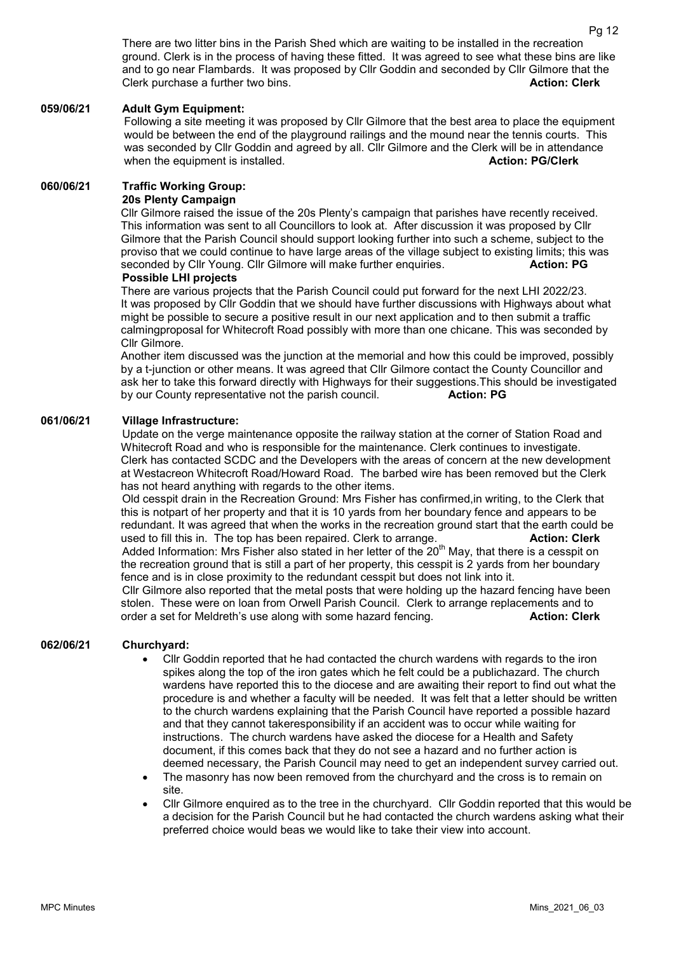There are two litter bins in the Parish Shed which are waiting to be installed in the recreation ground. Clerk is in the process of having these fitted. It was agreed to see what these bins are like and to go near Flambards. It was proposed by Cllr Goddin and seconded by Cllr Gilmore that the Clerk purchase a further two bins. Action: Clerk and Action: Clerk and Action: Clerk

### 059/06/21 Adult Gym Equipment:

Following a site meeting it was proposed by Cllr Gilmore that the best area to place the equipment would be between the end of the playground railings and the mound near the tennis courts. This was seconded by Cllr Goddin and agreed by all. Cllr Gilmore and the Clerk will be in attendance when the equipment is installed. Action: PG/Clerk

#### 060/06/21 Traffic Working Group:

#### 20s Plenty Campaign

Cllr Gilmore raised the issue of the 20s Plenty's campaign that parishes have recently received. This information was sent to all Councillors to look at. After discussion it was proposed by Cllr Gilmore that the Parish Council should support looking further into such a scheme, subject to the proviso that we could continue to have large areas of the village subject to existing limits; this was seconded by Cllr Young. Cllr Gilmore will make further enquiries. **Action: PG** Possible LHI projects

There are various projects that the Parish Council could put forward for the next LHI 2022/23. It was proposed by Cllr Goddin that we should have further discussions with Highways about what might be possible to secure a positive result in our next application and to then submit a traffic calmingproposal for Whitecroft Road possibly with more than one chicane. This was seconded by Cllr Gilmore.

Another item discussed was the junction at the memorial and how this could be improved, possibly by a t-junction or other means. It was agreed that Cllr Gilmore contact the County Councillor and ask her to take this forward directly with Highways for their suggestions.This should be investigated by our County representative not the parish council. **Action: PG** 

#### 061/06/21 Village Infrastructure:

 Update on the verge maintenance opposite the railway station at the corner of Station Road and Whitecroft Road and who is responsible for the maintenance. Clerk continues to investigate. Clerk has contacted SCDC and the Developers with the areas of concern at the new development at Westacreon Whitecroft Road/Howard Road. The barbed wire has been removed but the Clerk has not heard anything with regards to the other items.

Old cesspit drain in the Recreation Ground: Mrs Fisher has confirmed,in writing, to the Clerk that this is notpart of her property and that it is 10 yards from her boundary fence and appears to be redundant. It was agreed that when the works in the recreation ground start that the earth could be used to fill this in. The top has been repaired. Clerk to arrange. **Action: Clerk** is not in the top has been repaired. Clerk Added Information: Mrs Fisher also stated in her letter of the  $20<sup>th</sup>$  May, that there is a cesspit on the recreation ground that is still a part of her property, this cesspit is 2 yards from her boundary fence and is in close proximity to the redundant cesspit but does not link into it. Cllr Gilmore also reported that the metal posts that were holding up the hazard fencing have been stolen. These were on loan from Orwell Parish Council. Clerk to arrange replacements and to

order a set for Meldreth's use along with some hazard fencing. **Action: Clerk** Action: Clerk

# 062/06/21 Churchyard:

- Cllr Goddin reported that he had contacted the church wardens with regards to the iron spikes along the top of the iron gates which he felt could be a publichazard. The church wardens have reported this to the diocese and are awaiting their report to find out what the procedure is and whether a faculty will be needed. It was felt that a letter should be written to the church wardens explaining that the Parish Council have reported a possible hazard and that they cannot takeresponsibility if an accident was to occur while waiting for instructions. The church wardens have asked the diocese for a Health and Safety document, if this comes back that they do not see a hazard and no further action is deemed necessary, the Parish Council may need to get an independent survey carried out.
- The masonry has now been removed from the churchyard and the cross is to remain on site.
- Cllr Gilmore enquired as to the tree in the churchyard. Cllr Goddin reported that this would be a decision for the Parish Council but he had contacted the church wardens asking what their preferred choice would beas we would like to take their view into account.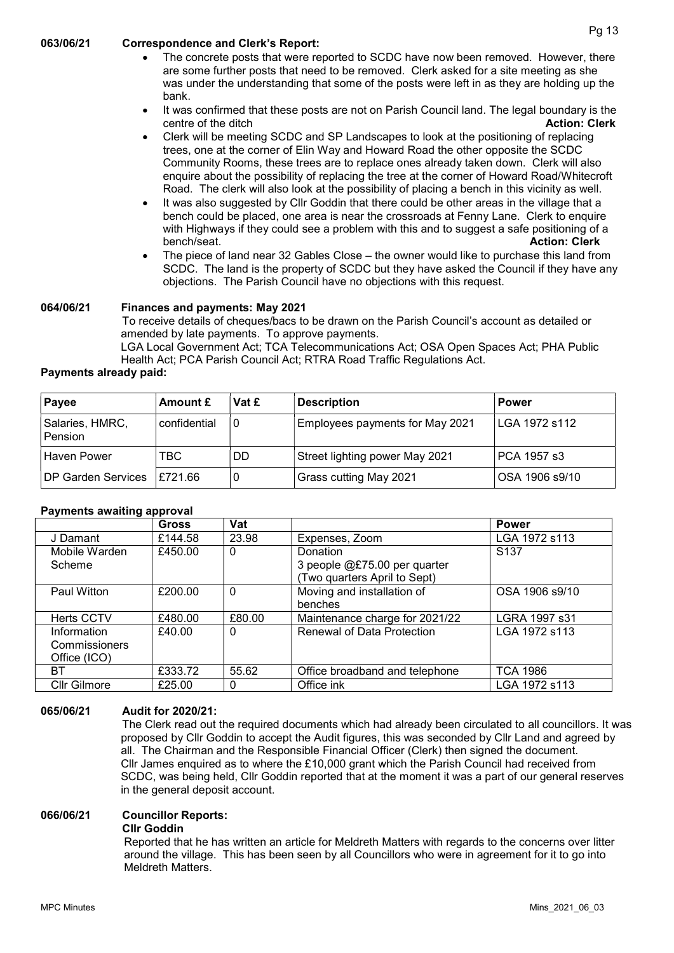### 063/06/21 Correspondence and Clerk's Report:

- The concrete posts that were reported to SCDC have now been removed. However, there are some further posts that need to be removed. Clerk asked for a site meeting as she was under the understanding that some of the posts were left in as they are holding up the bank.
- It was confirmed that these posts are not on Parish Council land. The legal boundary is the centre of the ditch **Action:** Clerk Action: Clerk
- Clerk will be meeting SCDC and SP Landscapes to look at the positioning of replacing trees, one at the corner of Elin Way and Howard Road the other opposite the SCDC Community Rooms, these trees are to replace ones already taken down. Clerk will also enquire about the possibility of replacing the tree at the corner of Howard Road/Whitecroft Road. The clerk will also look at the possibility of placing a bench in this vicinity as well.
- It was also suggested by Cllr Goddin that there could be other areas in the village that a bench could be placed, one area is near the crossroads at Fenny Lane. Clerk to enquire with Highways if they could see a problem with this and to suggest a safe positioning of a bench/seat. **Action: Clerk Action: Clerk Action: Clerk**
- The piece of land near 32 Gables Close the owner would like to purchase this land from SCDC. The land is the property of SCDC but they have asked the Council if they have any objections. The Parish Council have no objections with this request.

### 064/06/21 Finances and payments: May 2021

To receive details of cheques/bacs to be drawn on the Parish Council's account as detailed or amended by late payments. To approve payments.

LGA Local Government Act; TCA Telecommunications Act; OSA Open Spaces Act; PHA Public Health Act; PCA Parish Council Act; RTRA Road Traffic Regulations Act.

### Payments already paid:

| Payee                       | Amount £     | Vat £ | <b>Description</b>              | <b>Power</b>   |
|-----------------------------|--------------|-------|---------------------------------|----------------|
| Salaries, HMRC,<br>Pension  | confidential | 0     | Employees payments for May 2021 | LGA 1972 s112  |
| Haven Power                 | TBC          | DD    | Street lighting power May 2021  | PCA 1957 s3    |
| DP Garden Services 1£721.66 |              |       | Grass cutting May 2021          | OSA 1906 s9/10 |

### Payments awaiting approval

|                                              | <b>Gross</b> | Vat         |                                                                                | <b>Power</b>     |
|----------------------------------------------|--------------|-------------|--------------------------------------------------------------------------------|------------------|
| J Damant                                     | £144.58      | 23.98       | Expenses, Zoom                                                                 | LGA 1972 s113    |
| Mobile Warden<br>Scheme                      | £450.00      | 0           | <b>Donation</b><br>3 people @£75.00 per quarter<br>Two quarters April to Sept) | S <sub>137</sub> |
| Paul Witton                                  | £200.00      | $\mathbf 0$ | Moving and installation of<br>benches                                          | OSA 1906 s9/10   |
| <b>Herts CCTV</b>                            | £480.00      | £80.00      | Maintenance charge for 2021/22                                                 | LGRA 1997 s31    |
| Information<br>Commissioners<br>Office (ICO) | f40.00       | 0           | <b>Renewal of Data Protection</b>                                              | LGA 1972 s113    |
| BT                                           | £333.72      | 55.62       | Office broadband and telephone                                                 | <b>TCA 1986</b>  |
| Cllr Gilmore                                 | £25.00       | 0           | Office ink                                                                     | LGA 1972 s113    |

### 065/06/21 Audit for 2020/21:

 The Clerk read out the required documents which had already been circulated to all councillors. It was proposed by Cllr Goddin to accept the Audit figures, this was seconded by Cllr Land and agreed by all. The Chairman and the Responsible Financial Officer (Clerk) then signed the document. Cllr James enquired as to where the £10,000 grant which the Parish Council had received from SCDC, was being held, Cllr Goddin reported that at the moment it was a part of our general reserves in the general deposit account.

### 066/06/21 Councillor Reports:

#### Cllr Goddin

Reported that he has written an article for Meldreth Matters with regards to the concerns over litter around the village. This has been seen by all Councillors who were in agreement for it to go into Meldreth Matters.